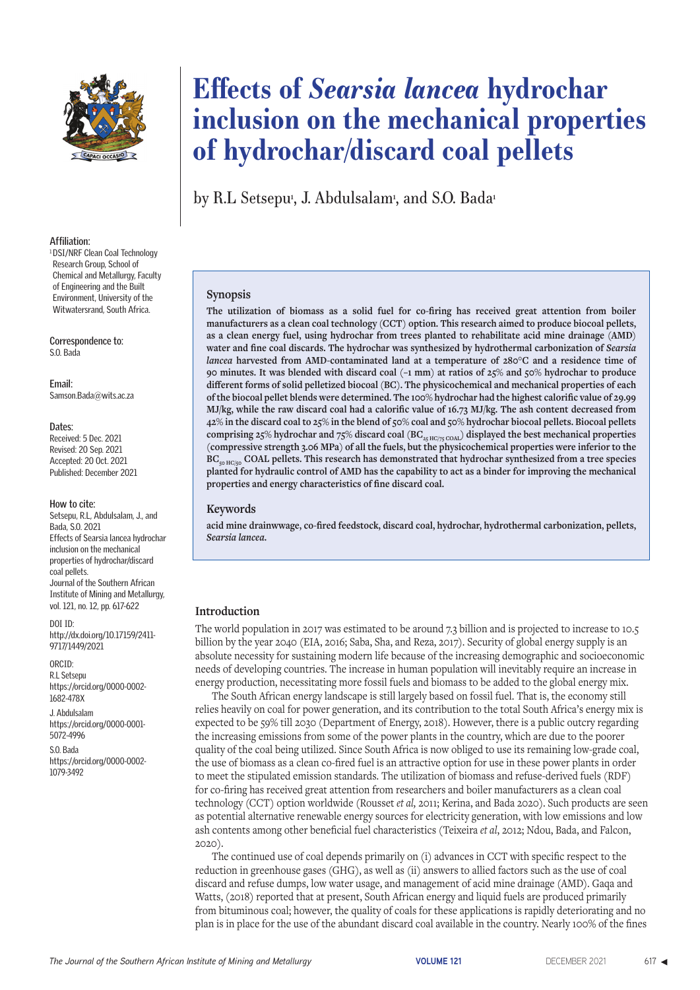

### **Affiliation:**

<sup>1</sup> DSI/NRF Clean Coal Technology Research Group, School of Chemical and Metallurgy, Faculty of Engineering and the Built Environment, University of the Witwatersrand, South Africa.

**Correspondence to:** S.O. Bada

**Email:** Samson.Bada@wits.ac.za

#### **Dates:**

Received: 5 Dec. 2021 Revised: 20 Sep. 2021 Accepted: 20 Oct. 2021 Published: December 2021

### **How to cite:**

Setsepu, R.L, Abdulsalam, J., and Bada, S.O. 2021 Effects of Searsia lancea hydrochar inclusion on the mechanical properties of hydrochar/discard coal pellets. Journal of the Southern African Institute of Mining and Metallurgy, vol. 121, no. 12, pp. 617-622

DOI ID:

http://dx.doi.org/10.17159/2411- 9717/1449/2021

### ORCID:

R.L Setsepu https://orcid.org/0000-0002- 1682-478X

J. Abdulsalam https://orcid.org/0000-0001- 5072-4996

S.O. Bada https://orcid.org/0000-0002- 1079-3492

# **Effects of** *Searsia lancea* **hydrochar inclusion on the mechanical properties of hydrochar/discard coal pellets**

by R.L Setsepu<sup>,</sup> J. Abdulsalam<sup>,</sup> and S.O. Bada<sup>,</sup>

### **Synopsis**

**The utilization of biomass as a solid fuel for co-firing has received great attention from boiler manufacturers as a clean coal technology (CCT) option. This research aimed to produce biocoal pellets, as a clean energy fuel, using hydrochar from trees planted to rehabilitate acid mine drainage (AMD)**  water and fine coal discards. The hydrochar was synthesized by hydrothermal carbonization of *Searsia lancea* **harvested from AMD-contaminated land at a temperature of 280°C and a residence time of 90 minutes. It was blended with discard coal (–1 mm) at ratios of 25% and 50% hydrochar to produce different forms of solid pelletized biocoal (BC). The physicochemical and mechanical properties of each of the biocoal pellet blends were determined. The 100% hydrochar had the highest calorific value of 29.99 MJ/kg, while the raw discard coal had a calorific value of 16.73 MJ/kg. The ash content decreased from 42% in the discard coal to 25% in the blend of 50% coal and 50% hydrochar biocoal pellets. Biocoal pellets**  comprising 25% hydrochar and 75% discard coal  $(\text{BC}_{\text{25\,HC/75\,COAL}})$  displayed the best mechanical properties **(compressive strength 3.06 MPa) of all the fuels, but the physicochemical properties were inferior to the**  BC<sub>50 HC/50</sub> COAL pellets. This research has demonstrated that hydrochar synthesized from a tree species **planted for hydraulic control of AMD has the capability to act as a binder for improving the mechanical properties and energy characteristics of fine discard coal.**

### **Keywords**

**acid mine drainwwage, co-fired feedstock, discard coal, hydrochar, hydrothermal carbonization, pellets,**  *Searsia lancea***.**

### **Introduction**

The world population in 2017 was estimated to be around 7.3 billion and is projected to increase to 10.5 billion by the year 2040 (EIA, 2016; Saba, Sha, and Reza, 2017). Security of global energy supply is an absolute necessity for sustaining modern life because of the increasing demographic and socioeconomic needs of developing countries. The increase in human population will inevitably require an increase in energy production, necessitating more fossil fuels and biomass to be added to the global energy mix.

The South African energy landscape is still largely based on fossil fuel. That is, the economy still relies heavily on coal for power generation, and its contribution to the total South Africa's energy mix is expected to be 59% till 2030 (Department of Energy, 2018). However, there is a public outcry regarding the increasing emissions from some of the power plants in the country, which are due to the poorer quality of the coal being utilized. Since South Africa is now obliged to use its remaining low-grade coal, the use of biomass as a clean co-fired fuel is an attractive option for use in these power plants in order to meet the stipulated emission standards. The utilization of biomass and refuse-derived fuels (RDF) for co-firing has received great attention from researchers and boiler manufacturers as a clean coal technology (CCT) option worldwide (Rousset *et al,* 2011; Kerina, and Bada 2020). Such products are seen as potential alternative renewable energy sources for electricity generation, with low emissions and low ash contents among other beneficial fuel characteristics (Teixeira *et al*, 2012; Ndou, Bada, and Falcon, 2020).

The continued use of coal depends primarily on (i) advances in CCT with specific respect to the reduction in greenhouse gases (GHG), as well as (ii) answers to allied factors such as the use of coal discard and refuse dumps, low water usage, and management of acid mine drainage (AMD). Gaqa and Watts, (2018) reported that at present, South African energy and liquid fuels are produced primarily from bituminous coal; however, the quality of coals for these applications is rapidly deteriorating and no plan is in place for the use of the abundant discard coal available in the country. Nearly 100% of the fines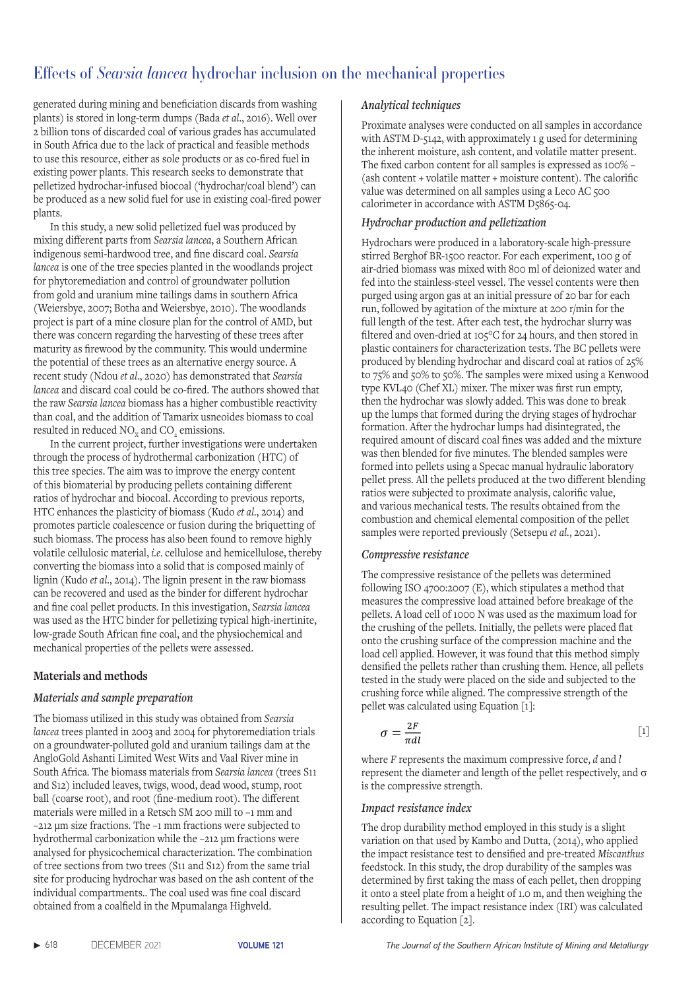generated during mining and beneficiation discards from washing plants) is stored in long-term dumps (Bada *et al*., 2016). Well over 2 billion tons of discarded coal of various grades has accumulated in South Africa due to the lack of practical and feasible methods to use this resource, either as sole products or as co-fired fuel in existing power plants. This research seeks to demonstrate that pelletized hydrochar-infused biocoal ('hydrochar/coal blend') can be produced as a new solid fuel for use in existing coal-fired power plants.

In this study, a new solid pelletized fuel was produced by mixing different parts from *Searsia lancea*, a Southern African indigenous semi-hardwood tree, and fine discard coal. *Searsia lancea* is one of the tree species planted in the woodlands project for phytoremediation and control of groundwater pollution from gold and uranium mine tailings dams in southern Africa (Weiersbye, 2007; Botha and Weiersbye, 2010). The woodlands project is part of a mine closure plan for the control of AMD, but there was concern regarding the harvesting of these trees after maturity as firewood by the community. This would undermine the potential of these trees as an alternative energy source. A recent study (Ndou *et al*., 2020) has demonstrated that *Searsia lancea* and discard coal could be co-fired. The authors showed that the raw *Searsia lancea* biomass has a higher combustible reactivity than coal, and the addition of Tamarix usneoides biomass to coal resulted in reduced  $NO<sub>x</sub>$  and  $CO<sub>z</sub>$  emissions.

In the current project, further investigations were undertaken through the process of hydrothermal carbonization (HTC) of this tree species. The aim was to improve the energy content of this biomaterial by producing pellets containing different ratios of hydrochar and biocoal. According to previous reports, HTC enhances the plasticity of biomass (Kudo *et al*., 2014) and promotes particle coalescence or fusion during the briquetting of such biomass. The process has also been found to remove highly volatile cellulosic material, *i.e*. cellulose and hemicellulose, thereby converting the biomass into a solid that is composed mainly of lignin (Kudo *et al*., 2014). The lignin present in the raw biomass can be recovered and used as the binder for different hydrochar and fine coal pellet products. In this investigation, *Searsia lancea* was used as the HTC binder for pelletizing typical high-inertinite, low-grade South African fine coal, and the physiochemical and mechanical properties of the pellets were assessed.

# **Materials and methods**

# *Materials and sample preparation*

The biomass utilized in this study was obtained from *Searsia lancea* trees planted in 2003 and 2004 for phytoremediation trials on a groundwater-polluted gold and uranium tailings dam at the AngloGold Ashanti Limited West Wits and Vaal River mine in South Africa. The biomass materials from *Searsia lancea* (trees S11 and S12) included leaves, twigs, wood, dead wood, stump, root ball (coarse root), and root (fine-medium root). The different materials were milled in a Retsch SM 200 mill to –1 mm and –212 μm size fractions. The –1 mm fractions were subjected to hydrothermal carbonization while the –212 μm fractions were analysed for physicochemical characterization. The combination of tree sections from two trees (S11 and S12) from the same trial site for producing hydrochar was based on the ash content of the individual compartments.. The coal used was fine coal discard obtained from a coalfield in the Mpumalanga Highveld.

# *Analytical techniques*

Proximate analyses were conducted on all samples in accordance with ASTM D-5142, with approximately 1 g used for determining the inherent moisture, ash content, and volatile matter present. The fixed carbon content for all samples is expressed as 100% – (ash content + volatile matter + moisture content). The calorific value was determined on all samples using a Leco AC 500 calorimeter in accordance with ASTM D5865-04.

# *Hydrochar production and pelletization*

Hydrochars were produced in a laboratory-scale high-pressure stirred Berghof BR-1500 reactor. For each experiment, 100 g of air-dried biomass was mixed with 800 ml of deionized water and fed into the stainless-steel vessel. The vessel contents were then purged using argon gas at an initial pressure of 20 bar for each run, followed by agitation of the mixture at 200 r/min for the full length of the test. After each test, the hydrochar slurry was filtered and oven-dried at 105°C for 24 hours, and then stored in plastic containers for characterization tests. The BC pellets were produced by blending hydrochar and discard coal at ratios of 25% to 75% and 50% to 50%. The samples were mixed using a Kenwood type KVL40 (Chef XL) mixer. The mixer was first run empty, then the hydrochar was slowly added. This was done to break up the lumps that formed during the drying stages of hydrochar formation. After the hydrochar lumps had disintegrated, the required amount of discard coal fines was added and the mixture was then blended for five minutes. The blended samples were formed into pellets using a Specac manual hydraulic laboratory pellet press. All the pellets produced at the two different blending ratios were subjected to proximate analysis, calorific value, and various mechanical tests. The results obtained from the combustion and chemical elemental composition of the pellet samples were reported previously (Setsepu et al., 2021).

### *Compressive resistance*

The compressive resistance of the pellets was determined following ISO 4700:2007 (E), which stipulates a method that measures the compressive load attained before breakage of the pellets. A load cell of 1000 N was used as the maximum load for the crushing of the pellets. Initially, the pellets were placed flat onto the crushing surface of the compression machine and the load cell applied. However, it was found that this method simply densified the pellets rather than crushing them. Hence, all pellets tested in the study were placed on the side and subjected to the crushing force while aligned. The compressive strength of the pellet was calculated using Equation [1]:

$$
\sigma = \frac{2F}{\pi dl} \tag{1}
$$

where *F* represents the maximum compressive force, *d* and *l* represent the diameter and length of the pellet respectively, and  $\sigma$ is the compressive strength.

### *Impact resistance index*

The drop durability method employed in this study is a slight variation on that used by Kambo and Dutta, (2014), who applied the impact resistance test to densified and pre-treated *Miscanthus*  feedstock. In this study, the drop durability of the samples was determined by first taking the mass of each pellet, then dropping it onto a steel plate from a height of 1.0 m, and then weighing the resulting pellet. The impact resistance index (IRI) was calculated according to Equation [2].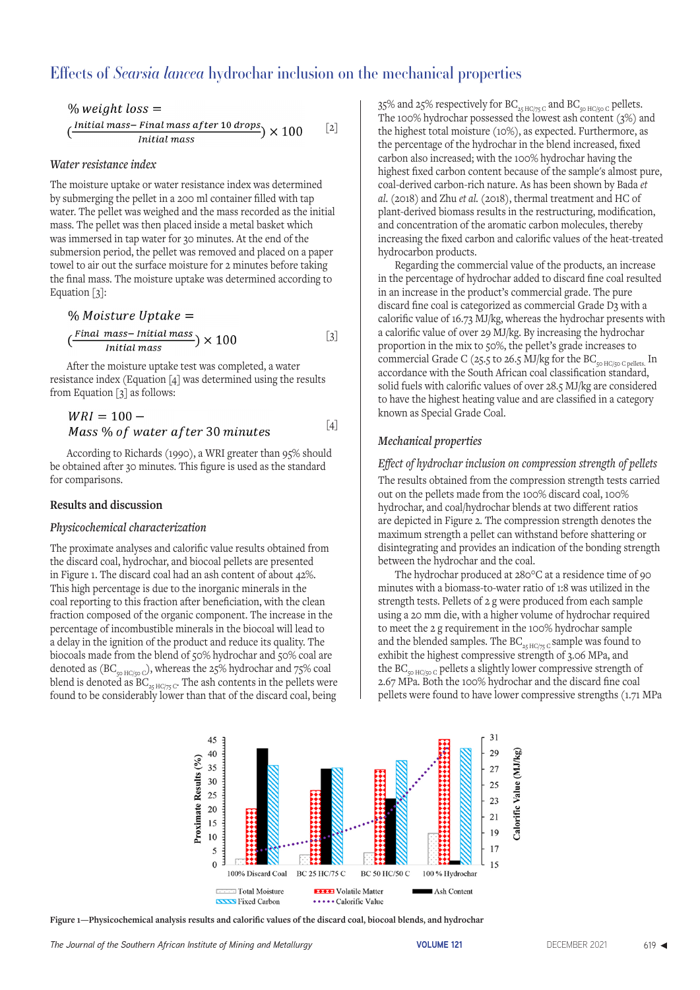% weight loss =

\n
$$
\left(\frac{\text{Initial mass - Final mass after 10 drops}}{\text{Initial mass}}\right) \times 100
$$
\n[2]

### *Water resistance index*

The moisture uptake or water resistance index was determined by submerging the pellet in a 200 ml container filled with tap water. The pellet was weighed and the mass recorded as the initial mass. The pellet was then placed inside a metal basket which was immersed in tap water for 30 minutes. At the end of the submersion period, the pellet was removed and placed on a paper towel to air out the surface moisture for 2 minutes before taking the final mass. The moisture uptake was determined according to Equation  $\lceil 3 \rceil$ :

% Moisture Uptake =

\n
$$
\left(\frac{Final\ mass - Initial\ mass}{Initial\ mass}\right) \times 100
$$
\n[3]

After the moisture uptake test was completed, a water resistance index (Equation [4] was determined using the results from Equation [3] as follows:

$$
WRI = 100 -Mass % of water after 30 minutes
$$
 [4]

According to Richards (1990), a WRI greater than 95% should be obtained after 30 minutes. This figure is used as the standard for comparisons.

### **Results and discussion**

### *Physicochemical characterization*

The proximate analyses and calorific value results obtained from the discard coal, hydrochar, and biocoal pellets are presented in Figure 1. The discard coal had an ash content of about 42%. This high percentage is due to the inorganic minerals in the coal reporting to this fraction after beneficiation, with the clean fraction composed of the organic component. The increase in the percentage of incombustible minerals in the biocoal will lead to a delay in the ignition of the product and reduce its quality. The biocoals made from the blend of 50% hydrochar and 50% coal are denoted as  $(BC_{50 \text{ HG/}50 \text{ C}})$ , whereas the 25% hydrochar and 75% coal blend is denoted as  $BC_{25 \text{ HG/75 C}}$ . The ash contents in the pellets were found to be considerably lower than that of the discard coal, being

35% and 25% respectively for  $\mathrm{BC}_{_{25}\mathrm{HC}/75\mathrm{C}}$  and  $\mathrm{BC}_{_{50}\mathrm{HC}/50\mathrm{C}}$  pellets. The 100% hydrochar possessed the lowest ash content (3%) and the highest total moisture (10%), as expected. Furthermore, as the percentage of the hydrochar in the blend increased, fixed carbon also increased; with the 100% hydrochar having the highest fixed carbon content because of the sample's almost pure, coal-derived carbon-rich nature. As has been shown by Bada *et al*. (2018) and Zhu *et al.* (2018), thermal treatment and HC of plant-derived biomass results in the restructuring, modification, and concentration of the aromatic carbon molecules, thereby increasing the fixed carbon and calorific values of the heat-treated hydrocarbon products.

Regarding the commercial value of the products, an increase in the percentage of hydrochar added to discard fine coal resulted in an increase in the product's commercial grade. The pure discard fine coal is categorized as commercial Grade D3 with a calorific value of 16.73 MJ/kg, whereas the hydrochar presents with a calorific value of over 29 MJ/kg. By increasing the hydrochar proportion in the mix to 50%, the pellet's grade increases to commercial Grade C (25.5 to 26.5 MJ/kg for the BC<sub>50 HC/50 C pellets.</sub> In accordance with the South African coal classification standard, solid fuels with calorific values of over 28.5 MJ/kg are considered to have the highest heating value and are classified in a category known as Special Grade Coal.

### *Mechanical properties*

### *Effect of hydrochar inclusion on compression strength of pellets*

The results obtained from the compression strength tests carried out on the pellets made from the 100% discard coal, 100% hydrochar, and coal/hydrochar blends at two different ratios are depicted in Figure 2. The compression strength denotes the maximum strength a pellet can withstand before shattering or disintegrating and provides an indication of the bonding strength between the hydrochar and the coal.

The hydrochar produced at 280°C at a residence time of 90 minutes with a biomass-to-water ratio of 1:8 was utilized in the strength tests. Pellets of 2 g were produced from each sample using a 20 mm die, with a higher volume of hydrochar required to meet the 2 g requirement in the 100% hydrochar sample and the blended samples. The BC<sub>25 HC/75 C</sub> sample was found to exhibit the highest compressive strength of 3.06 MPa, and the BC<sub>50 HC/50 C</sub> pellets a slightly lower compressive strength of 2.67 MPa. Both the 100% hydrochar and the discard fine coal pellets were found to have lower compressive strengths (1.71 MPa



**Figure 1—Physicochemical analysis results and calorific values of the discard coal, biocoal blends, and hydrochar**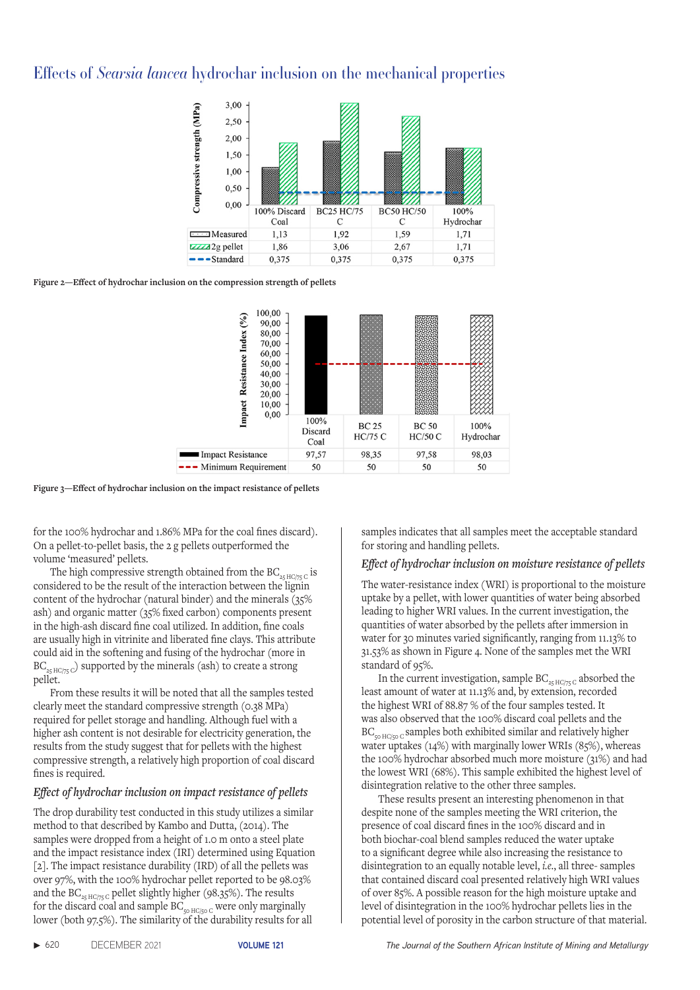

**Figure 2—Effect of hydrochar inclusion on the compression strength of pellets**



**Figure 3—Effect of hydrochar inclusion on the impact resistance of pellets**

for the 100% hydrochar and 1.86% MPa for the coal fines discard). On a pellet-to-pellet basis, the 2 g pellets outperformed the volume 'measured' pellets.

The high compressive strength obtained from the BC<sub>25 HC/75</sub> c is considered to be the result of the interaction between the lignin content of the hydrochar (natural binder) and the minerals (35% ash) and organic matter (35% fixed carbon) components present in the high-ash discard fine coal utilized. In addition, fine coals are usually high in vitrinite and liberated fine clays. This attribute could aid in the softening and fusing of the hydrochar (more in  $BC_{25 HCl/75 C}$ ) supported by the minerals (ash) to create a strong pellet.

From these results it will be noted that all the samples tested clearly meet the standard compressive strength (0.38 MPa) required for pellet storage and handling. Although fuel with a higher ash content is not desirable for electricity generation, the results from the study suggest that for pellets with the highest compressive strength, a relatively high proportion of coal discard fines is required.

# *Effect of hydrochar inclusion on impact resistance of pellets*

The drop durability test conducted in this study utilizes a similar method to that described by Kambo and Dutta, (2014). The samples were dropped from a height of 1.0 m onto a steel plate and the impact resistance index (IRI) determined using Equation [2]. The impact resistance durability (IRD) of all the pellets was over 97%, with the 100% hydrochar pellet reported to be 98.03% and the BC<sub>25 HC/75</sub> c pellet slightly higher (98.35%). The results for the discard coal and sample  $BC_{50 \text{ HG/}50 \text{ C}}$  were only marginally lower (both 97.5%). The similarity of the durability results for all

samples indicates that all samples meet the acceptable standard for storing and handling pellets.

# *Effect of hydrochar inclusion on moisture resistance of pellets*

The water-resistance index (WRI) is proportional to the moisture uptake by a pellet, with lower quantities of water being absorbed leading to higher WRI values. In the current investigation, the quantities of water absorbed by the pellets after immersion in water for 30 minutes varied significantly, ranging from 11.13% to 31.53% as shown in Figure 4. None of the samples met the WRI standard of 95%.

In the current investigation, sample  $BC_{25 \text{ HG/75 C}}$  absorbed the least amount of water at 11.13% and, by extension, recorded the highest WRI of 88.87 % of the four samples tested. It was also observed that the 100% discard coal pellets and the  $BC_{50 HCl50 C}$  samples both exhibited similar and relatively higher water uptakes (14%) with marginally lower WRIs (85%), whereas the 100% hydrochar absorbed much more moisture (31%) and had the lowest WRI (68%). This sample exhibited the highest level of disintegration relative to the other three samples.

These results present an interesting phenomenon in that despite none of the samples meeting the WRI criterion, the presence of coal discard fines in the 100% discard and in both biochar-coal blend samples reduced the water uptake to a significant degree while also increasing the resistance to disintegration to an equally notable level, *i.e*., all three- samples that contained discard coal presented relatively high WRI values of over 85%. A possible reason for the high moisture uptake and level of disintegration in the 100% hydrochar pellets lies in the potential level of porosity in the carbon structure of that material.